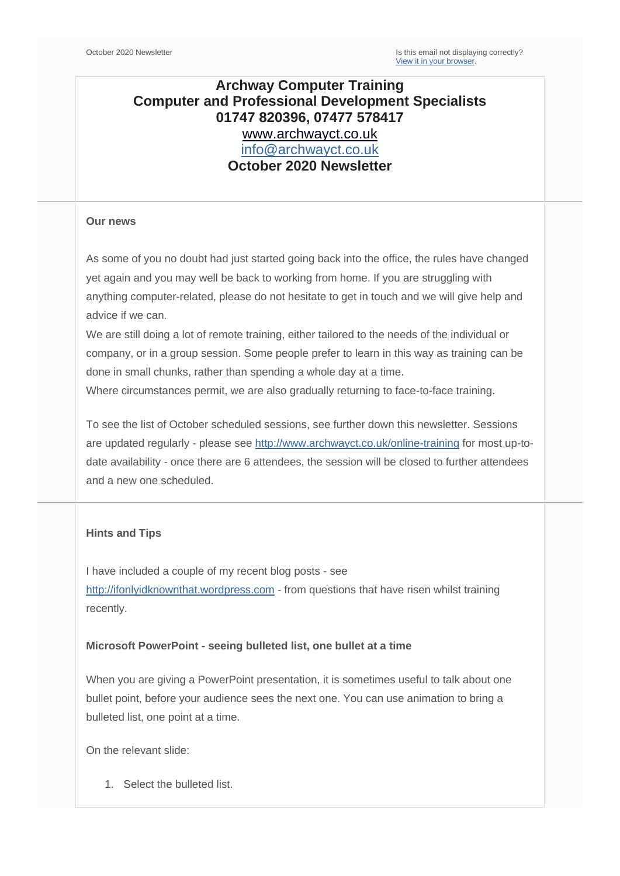## **Archway Computer Training Computer and Professional Development Specialists 01747 820396, 07477 578417** [www.archwayct.co.uk](http://www.archwayct.co.uk/) [info@archwayct.co.uk](mailto:%20info@archwayct.co.uk) **October 2020 Newsletter**

#### **Our news**

As some of you no doubt had just started going back into the office, the rules have changed yet again and you may well be back to working from home. If you are struggling with anything computer-related, please do not hesitate to get in touch and we will give help and advice if we can.

We are still doing a lot of remote training, either tailored to the needs of the individual or company, or in a group session. Some people prefer to learn in this way as training can be done in small chunks, rather than spending a whole day at a time.

Where circumstances permit, we are also gradually returning to face-to-face training.

To see the list of October scheduled sessions, see further down this newsletter. Sessions are updated regularly - please see<http://www.archwayct.co.uk/online-training> for most up-todate availability - once there are 6 attendees, the session will be closed to further attendees and a new one scheduled.

### **Hints and Tips**

I have included a couple of my recent blog posts - see [http://ifonlyidknownthat.wordpress.com](http://ifonlyidknownthat.wordpress.com/) - from questions that have risen whilst training recently.

#### **Microsoft PowerPoint - seeing bulleted list, one bullet at a time**

When you are giving a PowerPoint presentation, it is sometimes useful to talk about one bullet point, before your audience sees the next one. You can use animation to bring a bulleted list, one point at a time.

On the relevant slide:

1. Select the bulleted list.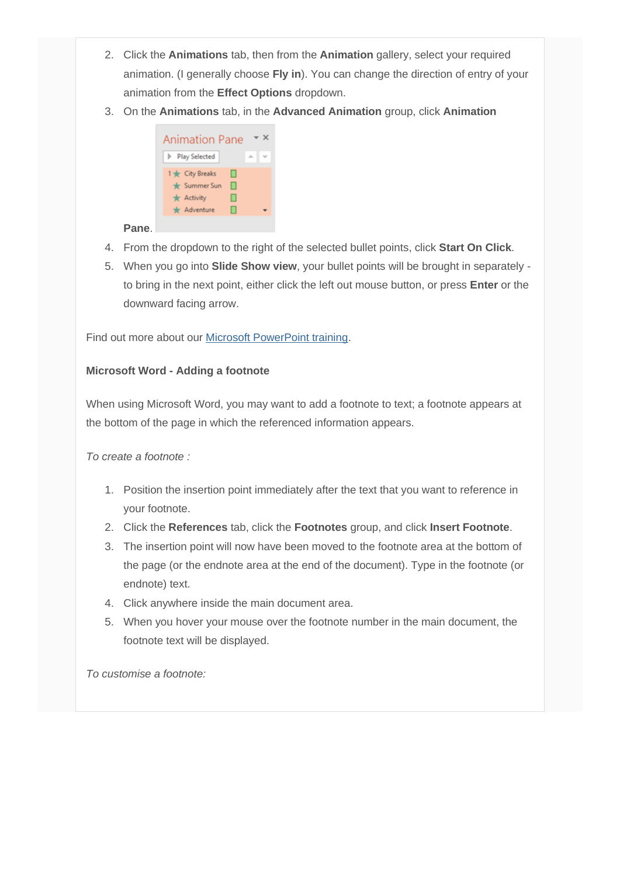- 2. Click the **Animations** tab, then from the **Animation** gallery, select your required animation. (I generally choose **Fly in**). You can change the direction of entry of your animation from the **Effect Options** dropdown.
- 3. On the **Animations** tab, in the **Advanced Animation** group, click **Animation**



## **Pane**.

- 4. From the dropdown to the right of the selected bullet points, click **Start On Click**.
- 5. When you go into **Slide Show view**, your bullet points will be brought in separately to bring in the next point, either click the left out mouse button, or press **Enter** or the downward facing arrow.

Find out more about our [Microsoft PowerPoint training.](http://www.archwayct.co.uk/microsoft-office-training/microsoft-powerpoint-training)

## **Microsoft Word - Adding a footnote**

When using Microsoft Word, you may want to add a footnote to text; a footnote appears at the bottom of the page in which the referenced information appears.

*To create a footnote :*

- 1. Position the insertion point immediately after the text that you want to reference in your footnote.
- 2. Click the **References** tab, click the **Footnotes** group, and click **Insert Footnote**.
- 3. The insertion point will now have been moved to the footnote area at the bottom of the page (or the endnote area at the end of the document). Type in the footnote (or endnote) text.
- 4. Click anywhere inside the main document area.
- 5. When you hover your mouse over the footnote number in the main document, the footnote text will be displayed.

*To customise a footnote:*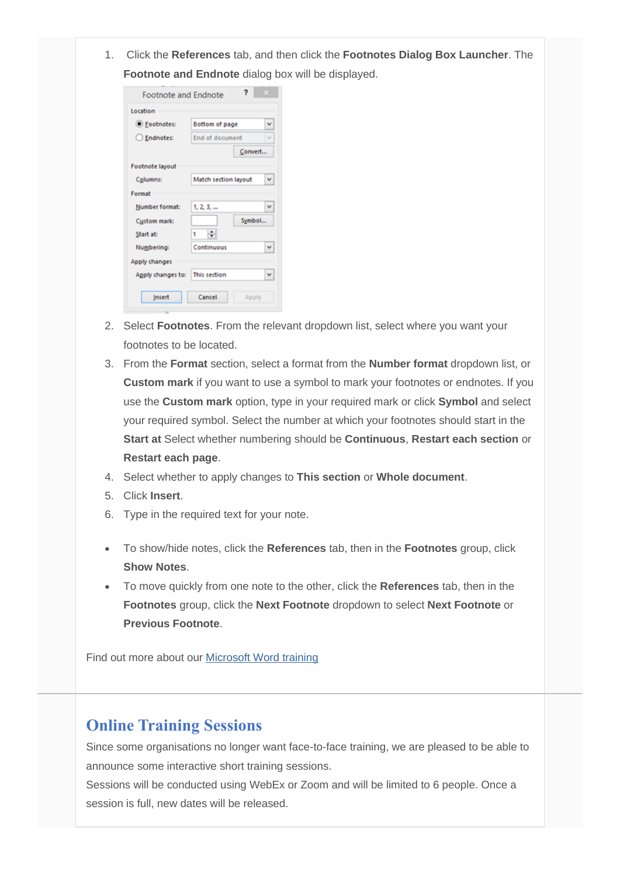1. Click the **References** tab, and then click the **Footnotes Dialog Box Launcher**. The **Footnote and Endnote** dialog box will be displayed.

| Location          |                      |              |
|-------------------|----------------------|--------------|
| ● Footnotes:      | Bottom of page       | v            |
| ○ Endnotes:       | End of document      | v            |
|                   | Convert              |              |
| Footnote layout   |                      |              |
| Columns:          | Match section layout |              |
| Format            |                      |              |
| Number format:    | 1, 2, 3,             | v            |
| Custom mark:      | Symbol               |              |
| Start at:         | ۱                    |              |
| Numbering:        | Continuous           | v            |
| Apply changes     |                      |              |
| Apply changes to: | This section         | $\checkmark$ |
|                   |                      |              |

- 2. Select **Footnotes**. From the relevant dropdown list, select where you want your footnotes to be located.
- 3. From the **Format** section, select a format from the **Number format** dropdown list, or **Custom mark** if you want to use a symbol to mark your footnotes or endnotes. If you use the **Custom mark** option, type in your required mark or click **Symbol** and select your required symbol. Select the number at which your footnotes should start in the **Start at** Select whether numbering should be **Continuous**, **Restart each section** or **Restart each page**.
- 4. Select whether to apply changes to **This section** or **Whole document**.
- 5. Click **Insert**.
- 6. Type in the required text for your note.
- To show/hide notes, click the **References** tab, then in the **Footnotes** group, click **Show Notes**.
- To move quickly from one note to the other, click the **References** tab, then in the **Footnotes** group, click the **Next Footnote** dropdown to select **Next Footnote** or **Previous Footnote**.

Find out more about our [Microsoft Word training](http://www.archwayct.co.uk/microsoft-office-training/microsoft-word-training)

# **Online Training Sessions**

Since some organisations no longer want face-to-face training, we are pleased to be able to announce some interactive short training sessions.

Sessions will be conducted using WebEx or Zoom and will be limited to 6 people. Once a session is full, new dates will be released.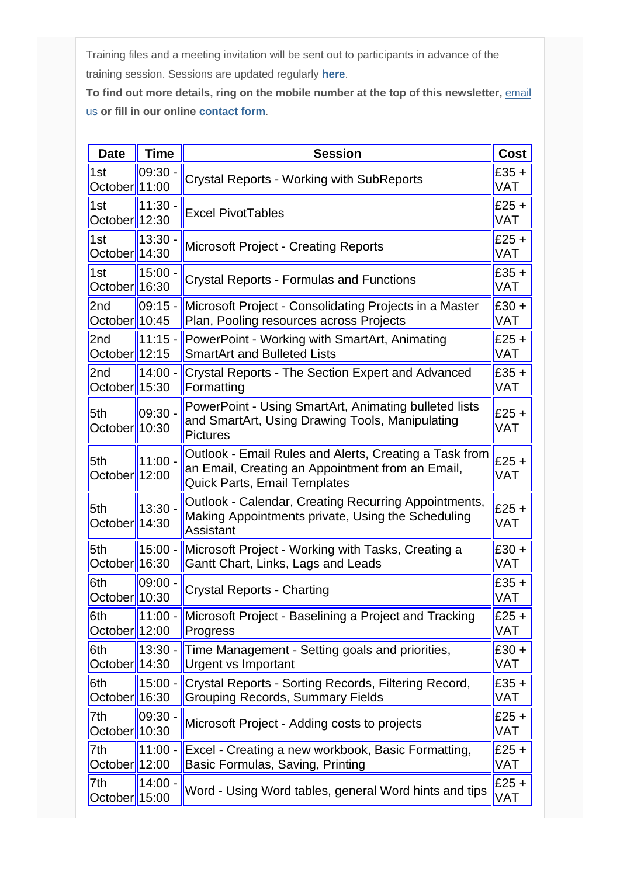Training files and a meeting invitation will be sent out to participants in advance of the training session. Sessions are updated regularly **[here](http://www.archwayct.co.uk/online-training)**.

To find out more details, ring on the mobile number at the top of this newsletter, **email** [us](mailto:janet@archwayct.co.uk?subject=Online%20training) **or fill in our online [contact form](http://www.archwayct.co.uk/contact)**.

| <b>Date</b>                      | <b>Time</b>        | <b>Session</b>                                                                                                                                    | Cost                  |
|----------------------------------|--------------------|---------------------------------------------------------------------------------------------------------------------------------------------------|-----------------------|
| 1st<br>$October$   11:00         | 09:30 -            | <b>Crystal Reports - Working with SubReports</b>                                                                                                  | $£35 +$<br>VAT        |
| 1st<br>October 12:30             | $11:30 -$          | <b>Excel PivotTables</b>                                                                                                                          | $£25 +$<br><b>VAT</b> |
| 1st<br>$October$   14:30         | 13:30              | Microsoft Project - Creating Reports                                                                                                              | $£25 +$<br>VAT        |
| 1st<br>October 16:30             | $15:00 -$          | <b>Crystal Reports - Formulas and Functions</b>                                                                                                   |                       |
| 2nd                              | $09:15 -$          | Microsoft Project - Consolidating Projects in a Master                                                                                            | $£30 +$               |
| October $10:45$                  |                    | Plan, Pooling resources across Projects                                                                                                           | VAT                   |
| 2 <sub>nd</sub>                  | $11:15 -$          | PowerPoint - Working with SmartArt, Animating                                                                                                     | $£25 +$               |
| October $12:15$                  |                    | <b>SmartArt and Bulleted Lists</b>                                                                                                                | VAT                   |
| 2nd                              | $14:00 -$          | <b>Crystal Reports - The Section Expert and Advanced</b>                                                                                          | $£35 +$               |
| $\textsf{October}$  15:30        |                    | Formatting                                                                                                                                        | VAT                   |
| 5th<br>October  10:30            | $09:30 -$          | PowerPoint - Using SmartArt, Animating bulleted lists<br>and SmartArt, Using Drawing Tools, Manipulating<br><b>Pictures</b>                       | $£25 +$<br><b>VAT</b> |
| 5th<br>$October$   12:00         | $11:00 -$          | Outlook - Email Rules and Alerts, Creating a Task from<br>an Email, Creating an Appointment from an Email,<br><b>Quick Parts, Email Templates</b> | $E25 +$<br>VAT        |
| 5th<br>October                   | $13:30 -$<br>14:30 | Outlook - Calendar, Creating Recurring Appointments,<br>Making Appointments private, Using the Scheduling<br>Assistant                            | $£25 +$<br>VAT        |
| 5th<br>$\textsf{October}$  16:30 | $15:00 -$          | Microsoft Project - Working with Tasks, Creating a<br>Gantt Chart, Links, Lags and Leads                                                          |                       |
| 6th                              | 09:00.             | <b>Crystal Reports - Charting</b>                                                                                                                 | $£35 +$               |
| October                          | 10:30              |                                                                                                                                                   | VAT                   |
| 6th                              | $11:00 -$          | Microsoft Project - Baselining a Project and Tracking                                                                                             | $£25 +$               |
| October $12:00$                  |                    | Progress                                                                                                                                          | VAT                   |
| 6th                              | $13:30 -$          | Time Management - Setting goals and priorities,                                                                                                   | $£30 +$               |
| October <sup>1</sup> 14:30       |                    | Urgent vs Important                                                                                                                               | VAT                   |
| 6th                              | $15:00 -$          | Crystal Reports - Sorting Records, Filtering Record,                                                                                              | $£35 +$               |
| October <sup>1</sup> 16:30       |                    | <b>Grouping Records, Summary Fields</b>                                                                                                           | VAT                   |
| 7th                              | 09:30 -            | Microsoft Project - Adding costs to projects                                                                                                      | $£25 +$               |
| October                          | 10:30              |                                                                                                                                                   | VAT                   |
| 7th                              | $11:00 -$          | Excel - Creating a new workbook, Basic Formatting,                                                                                                | $£25 +$               |
| October $12:00$                  |                    | Basic Formulas, Saving, Printing                                                                                                                  | VAT                   |
| 7th                              | 14:00.             | Word - Using Word tables, general Word hints and tips                                                                                             | $E25 +$               |
| October                          | 15:00              |                                                                                                                                                   | VAT                   |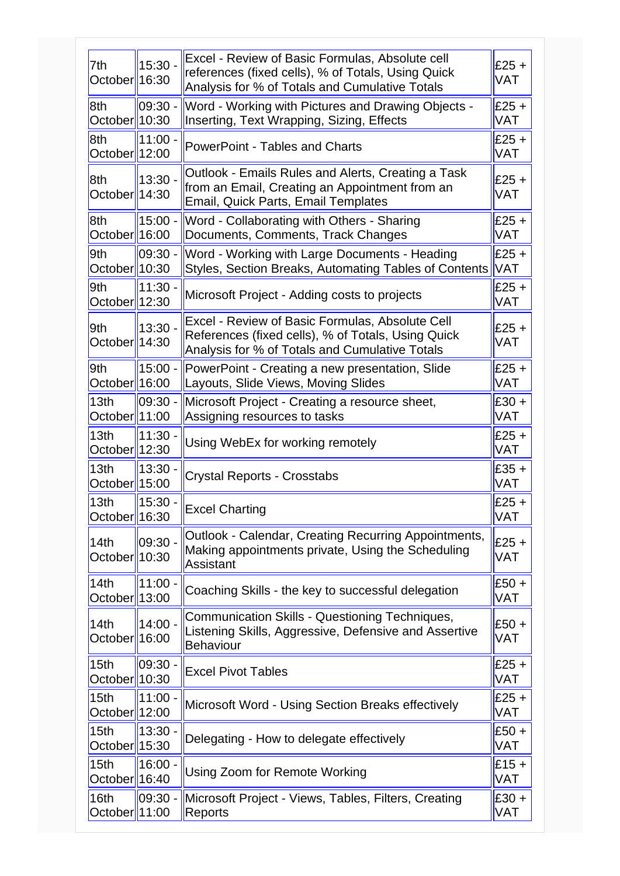| 7th<br>October <sup>1</sup> 16:30               | 15:30 -    | Excel - Review of Basic Formulas, Absolute cell<br>references (fixed cells), % of Totals, Using Quick<br>Analysis for % of Totals and Cumulative Totals | £25 $+$<br>VAT        |
|-------------------------------------------------|------------|---------------------------------------------------------------------------------------------------------------------------------------------------------|-----------------------|
| 8th<br>October <sup>1</sup> 10:30               | 09:30 -    | Word - Working with Pictures and Drawing Objects -<br>Inserting, Text Wrapping, Sizing, Effects                                                         | £25 $+$<br>VAT        |
| 8th<br>October  12:00                           | 11:00 -    | <b>PowerPoint - Tables and Charts</b>                                                                                                                   | $£25 +$<br>VAT        |
| 8th<br>October <sup>1</sup> 14:30               | 13:30 -    | Outlook - Emails Rules and Alerts, Creating a Task<br>from an Email, Creating an Appointment from an<br><b>Email, Quick Parts, Email Templates</b>      | $£25 +$<br>VAT        |
| 8th<br>October <sup>1</sup> 16:00               | $15:00 -$  | Word - Collaborating with Others - Sharing<br>Documents, Comments, Track Changes                                                                        | £25 $+$<br>VAT        |
| 9th<br>October <sup>1</sup> 10:30               | $09:30 -$  | Word - Working with Large Documents - Heading<br>Styles, Section Breaks, Automating Tables of Contents                                                  | $£25 +$<br><b>VAT</b> |
| 9th<br>October <sup>1</sup> 12:30               | $11:30 -$  | Microsoft Project - Adding costs to projects                                                                                                            | $£25 +$<br>VAT        |
| 9th<br>October <sup>1</sup> 14:30               | 13:30 -    | Excel - Review of Basic Formulas, Absolute Cell<br>References (fixed cells), % of Totals, Using Quick<br>Analysis for % of Totals and Cumulative Totals | $£25 +$<br>VAT        |
| 9th<br>October <sup>1</sup> 16:00               | $15:00 -$  | PowerPoint - Creating a new presentation, Slide<br>Layouts, Slide Views, Moving Slides                                                                  | $£25 +$<br>VAT        |
| 13 <sub>th</sub><br>October <sup>1</sup> 11:00  | $ 09:30 -$ | Microsoft Project - Creating a resource sheet,<br>Assigning resources to tasks                                                                          | $£30 +$<br>VAT        |
| 13 <sub>th</sub><br>October  12:30              | 11:30 -    | Using WebEx for working remotely                                                                                                                        | $£25 +$<br>VAT        |
| 13th<br>October <sup>1</sup> 15:00              | 13:30      | <b>Crystal Reports - Crosstabs</b>                                                                                                                      | $£35 +$<br>VAT        |
| 13th<br>October  16:30                          | 15:30 -    | <b>Excel Charting</b>                                                                                                                                   | $£25 +$<br>VAT        |
| 14 <sub>th</sub><br>October 10:30               | 09:30 -    | Outlook - Calendar, Creating Recurring Appointments,<br>Making appointments private, Using the Scheduling<br><b>Assistant</b>                           | $£25 +$<br>VAT        |
| 14th<br>October  13:00                          | 11:00 -    | Coaching Skills - the key to successful delegation                                                                                                      | $£50+$<br>VAT         |
| 14th<br>October <sup>1</sup> 16:00              | 14:00 -    | Communication Skills - Questioning Techniques,<br>Listening Skills, Aggressive, Defensive and Assertive<br><b>Behaviour</b>                             | $£50 +$<br>VAT        |
| 15 <sub>th</sub><br>October  10:30              | $09:30 -$  | <b>Excel Pivot Tables</b>                                                                                                                               | $£25 +$<br>VAT        |
| 15 <sub>th</sub><br>October <sup> </sup>  12:00 | $11:00 -$  | Microsoft Word - Using Section Breaks effectively                                                                                                       | £25 +<br>VAT          |
| 15 <sub>th</sub><br>October <sup> </sup>  15:30 | $13:30 -$  | Delegating - How to delegate effectively                                                                                                                | $£50+$<br>VAT         |
| 15th<br>October 16:40                           | 16:00 -    | Using Zoom for Remote Working                                                                                                                           | $£15 +$<br>VAT        |
| 16th<br>October <sup>1</sup> 11:00              | 09:30 -    | Microsoft Project - Views, Tables, Filters, Creating<br>Reports                                                                                         | $£30 +$<br>VAT        |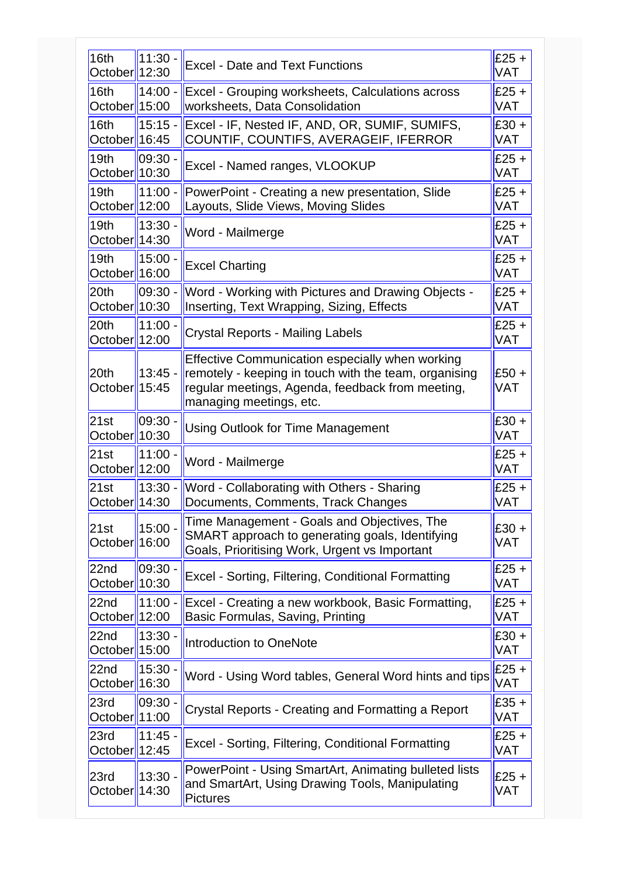| 16th<br>October <sup>1</sup> 12:30             | $11:30 -$ | <b>Excel - Date and Text Functions</b>                                                                                                                                                  | $E25 +$<br><b>VAT</b> |
|------------------------------------------------|-----------|-----------------------------------------------------------------------------------------------------------------------------------------------------------------------------------------|-----------------------|
| 16th<br>October <sup>1</sup> 15:00             | $14:00 -$ | Excel - Grouping worksheets, Calculations across<br>worksheets, Data Consolidation                                                                                                      | $£25 +$<br><b>VAT</b> |
| 16th<br>October <sup> </sup> 16:45             | $15:15 -$ | Excel - IF, Nested IF, AND, OR, SUMIF, SUMIFS,<br>COUNTIF, COUNTIFS, AVERAGEIF, IFERROR                                                                                                 | $£30 +$<br><b>VAT</b> |
| 19th<br>October $10:30$                        | 09:30     | Excel - Named ranges, VLOOKUP                                                                                                                                                           | $£25 +$<br><b>VAT</b> |
| 19 <sub>th</sub><br>October <sup>1</sup> 12:00 | 11:00 -   | PowerPoint - Creating a new presentation, Slide<br>Layouts, Slide Views, Moving Slides                                                                                                  | $£25 +$<br><b>VAT</b> |
| 19 <sub>th</sub><br>October <sup>1</sup> 14:30 | $13:30 -$ | Word - Mailmerge                                                                                                                                                                        | $£25 +$<br><b>VAT</b> |
| 19 <sub>th</sub><br>October <sup>1</sup> 16:00 | $15:00 -$ | <b>Excel Charting</b>                                                                                                                                                                   | $£25 +$<br><b>VAT</b> |
| 20th<br>October <sup>1</sup> 10:30             | 09:30 -   | Word - Working with Pictures and Drawing Objects -<br>Inserting, Text Wrapping, Sizing, Effects                                                                                         | $£25 +$<br><b>VAT</b> |
| 20th<br>October  12:00                         | $11:00 -$ | <b>Crystal Reports - Mailing Labels</b>                                                                                                                                                 | $E25 +$<br><b>VAT</b> |
| 20 <sub>th</sub><br>October <sup>1</sup> 15:45 | $13:45 -$ | Effective Communication especially when working<br>remotely - keeping in touch with the team, organising<br>regular meetings, Agenda, feedback from meeting,<br>managing meetings, etc. | $£50 +$<br><b>VAT</b> |
| 21st<br>October <sup>1</sup> 10:30             | 09:30     | <b>Using Outlook for Time Management</b>                                                                                                                                                | $£30 +$<br><b>VAT</b> |
| 21st<br>October 12:00                          | 11:00.    | Word - Mailmerge                                                                                                                                                                        | $£25 +$<br><b>VAT</b> |
| 21st<br>October <sup> </sup>  14:30            | $13:30 -$ | Word - Collaborating with Others - Sharing<br>Documents, Comments, Track Changes                                                                                                        | $£25 +$<br><b>VAT</b> |
| 21st<br>October <sup>1</sup> 16:00             | $15:00 -$ | Time Management - Goals and Objectives, The<br>SMART approach to generating goals, Identifying<br>Goals, Prioritising Work, Urgent vs Important                                         | $£30 +$<br><b>VAT</b> |
| 22nd<br>October <sup>1</sup> 10:30             | 09:30 -   | Excel - Sorting, Filtering, Conditional Formatting                                                                                                                                      | $£25 +$<br><b>VAT</b> |
| 22nd<br>October <sup> </sup> 12:00             | $11:00 -$ | Excel - Creating a new workbook, Basic Formatting,<br>Basic Formulas, Saving, Printing                                                                                                  | $£25 +$<br><b>VAT</b> |
| 22nd<br>October <sup>1</sup> 15:00             | 13:30     | Introduction to OneNote                                                                                                                                                                 | $£30 +$<br><b>VAT</b> |
| 22nd<br>October <sup> </sup> 16:30             | $15:30 -$ | Word - Using Word tables, General Word hints and tips                                                                                                                                   | $£25 +$<br>VAT        |
| 23rd<br>October  11:00                         | 09:30     | Crystal Reports - Creating and Formatting a Report                                                                                                                                      | $£35 +$<br><b>VAT</b> |
| 23rd<br>October <sup>1</sup> 12:45             | 11:45     | Excel - Sorting, Filtering, Conditional Formatting                                                                                                                                      | $£25 +$<br><b>VAT</b> |
| 23rd<br>October  14:30                         | 13:30 -   | PowerPoint - Using SmartArt, Animating bulleted lists<br>and SmartArt, Using Drawing Tools, Manipulating<br><b>Pictures</b>                                                             | £25 $+$<br><b>VAT</b> |